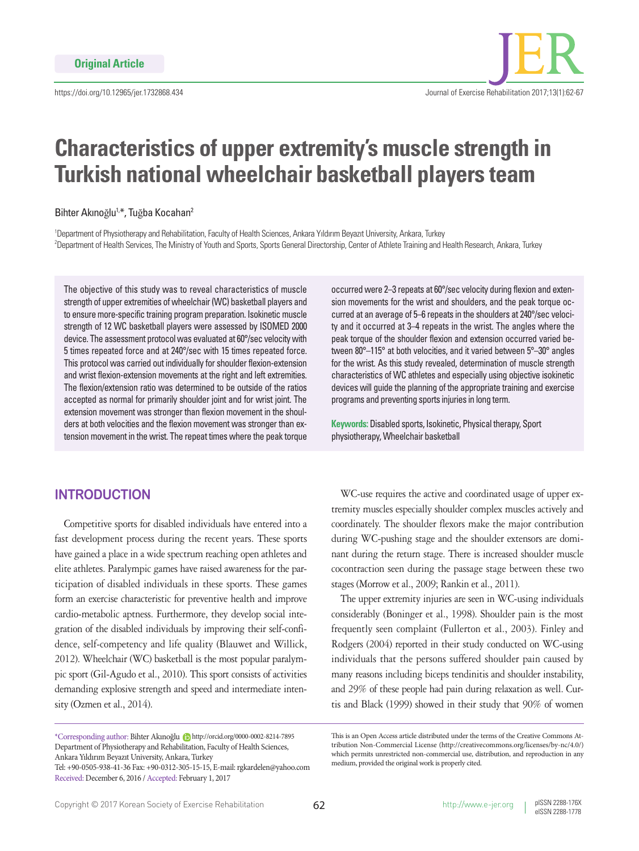

# **Characteristics of upper extremity's muscle strength in Turkish national wheelchair basketball players team**

Bihter Akınoğlu<sup>1,\*</sup>, Tuğba Kocahan<sup>2</sup>

1 Department of Physiotherapy and Rehabilitation, Faculty of Health Sciences, Ankara Yıldırım Beyazıt University, Ankara, Turkey 2 Department of Health Services, The Ministry of Youth and Sports, Sports General Directorship, Center of Athlete Training and Health Research, Ankara, Turkey

The objective of this study was to reveal characteristics of muscle strength of upper extremities of wheelchair (WC) basketball players and to ensure more-specific training program preparation. Isokinetic muscle strength of 12 WC basketball players were assessed by ISOMED 2000 device. The assessment protocol was evaluated at 60°/sec velocity with 5 times repeated force and at 240°/sec with 15 times repeated force. This protocol was carried out individually for shoulder flexion-extension and wrist flexion-extension movements at the right and left extremities. The flexion/extension ratio was determined to be outside of the ratios accepted as normal for primarily shoulder joint and for wrist joint. The extension movement was stronger than flexion movement in the shoulders at both velocities and the flexion movement was stronger than extension movement in the wrist. The repeat times where the peak torque

# **INTRODUCTION**

Competitive sports for disabled individuals have entered into a fast development process during the recent years. These sports have gained a place in a wide spectrum reaching open athletes and elite athletes. Paralympic games have raised awareness for the participation of disabled individuals in these sports. These games form an exercise characteristic for preventive health and improve cardio-metabolic aptness. Furthermore, they develop social integration of the disabled individuals by improving their self-confidence, self-competency and life quality (Blauwet and Willick, 2012). Wheelchair (WC) basketball is the most popular paralympic sport (Gil-Agudo et al., 2010). This sport consists of activities demanding explosive strength and speed and intermediate intensity (Ozmen et al., 2014).

\*Corresponding author: Bihter Akınoğlu http://orcid.org/0000-0002-8214-7895 Department of Physiotherapy and Rehabilitation, Faculty of Health Sciences, Ankara Yıldırım Beyazıt University, Ankara, Turkey

Tel: +90-0505-938-41-36 Fax: +90-0312-305-15-15, E-mail: rgkardelen@yahoo.com Received: December 6, 2016 / Accepted: February 1, 2017

occurred were 2–3 repeats at 60°/sec velocity during flexion and extension movements for the wrist and shoulders, and the peak torque occurred at an average of 5–6 repeats in the shoulders at 240°/sec velocity and it occurred at 3–4 repeats in the wrist. The angles where the peak torque of the shoulder flexion and extension occurred varied between 80°–115° at both velocities, and it varied between 5°–30° angles for the wrist. As this study revealed, determination of muscle strength characteristics of WC athletes and especially using objective isokinetic devices will guide the planning of the appropriate training and exercise programs and preventing sports injuries in long term.

**Keywords:** Disabled sports, Isokinetic, Physical therapy, Sport physiotherapy, Wheelchair basketball

WC-use requires the active and coordinated usage of upper extremity muscles especially shoulder complex muscles actively and coordinately. The shoulder flexors make the major contribution during WC-pushing stage and the shoulder extensors are dominant during the return stage. There is increased shoulder muscle cocontraction seen during the passage stage between these two stages (Morrow et al., 2009; Rankin et al., 2011).

The upper extremity injuries are seen in WC-using individuals considerably (Boninger et al., 1998). Shoulder pain is the most frequently seen complaint (Fullerton et al., 2003). Finley and Rodgers (2004) reported in their study conducted on WC-using individuals that the persons suffered shoulder pain caused by many reasons including biceps tendinitis and shoulder instability, and 29% of these people had pain during relaxation as well. Curtis and Black (1999) showed in their study that 90% of women

This is an Open Access article distributed under the terms of the Creative Commons Attribution Non-Commercial License (http://creativecommons.org/licenses/by-nc/4.0/) which permits unrestricted non-commercial use, distribution, and reproduction in any medium, provided the original work is properly cited.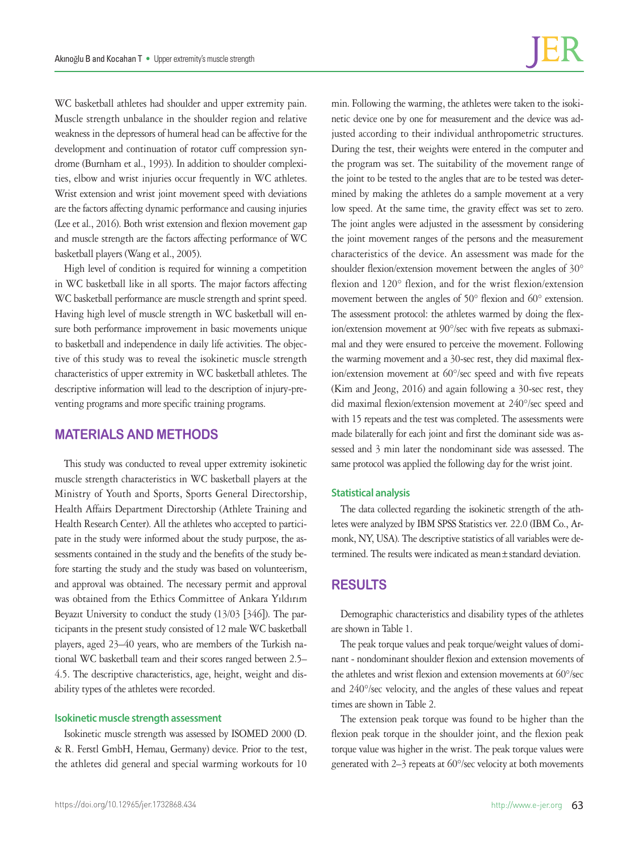WC basketball athletes had shoulder and upper extremity pain. Muscle strength unbalance in the shoulder region and relative weakness in the depressors of humeral head can be affective for the development and continuation of rotator cuff compression syndrome (Burnham et al., 1993). In addition to shoulder complexities, elbow and wrist injuries occur frequently in WC athletes. Wrist extension and wrist joint movement speed with deviations are the factors affecting dynamic performance and causing injuries (Lee et al., 2016). Both wrist extension and flexion movement gap and muscle strength are the factors affecting performance of WC basketball players (Wang et al., 2005).

High level of condition is required for winning a competition in WC basketball like in all sports. The major factors affecting WC basketball performance are muscle strength and sprint speed. Having high level of muscle strength in WC basketball will ensure both performance improvement in basic movements unique to basketball and independence in daily life activities. The objective of this study was to reveal the isokinetic muscle strength characteristics of upper extremity in WC basketball athletes. The descriptive information will lead to the description of injury-preventing programs and more specific training programs.

## **MATERIALS AND METHODS**

This study was conducted to reveal upper extremity isokinetic muscle strength characteristics in WC basketball players at the Ministry of Youth and Sports, Sports General Directorship, Health Affairs Department Directorship (Athlete Training and Health Research Center). All the athletes who accepted to participate in the study were informed about the study purpose, the assessments contained in the study and the benefits of the study before starting the study and the study was based on volunteerism, and approval was obtained. The necessary permit and approval was obtained from the Ethics Committee of Ankara Yıldırım Beyazıt University to conduct the study (13/03 [346]). The participants in the present study consisted of 12 male WC basketball players, aged 23–40 years, who are members of the Turkish national WC basketball team and their scores ranged between 2.5– 4.5. The descriptive characteristics, age, height, weight and disability types of the athletes were recorded.

### **Isokinetic muscle strength assessment**

Isokinetic muscle strength was assessed by ISOMED 2000 (D. & R. Ferstl GmbH, Hemau, Germany) device. Prior to the test, the athletes did general and special warming workouts for 10

min. Following the warming, the athletes were taken to the isokinetic device one by one for measurement and the device was adjusted according to their individual anthropometric structures. During the test, their weights were entered in the computer and the program was set. The suitability of the movement range of the joint to be tested to the angles that are to be tested was determined by making the athletes do a sample movement at a very low speed. At the same time, the gravity effect was set to zero. The joint angles were adjusted in the assessment by considering the joint movement ranges of the persons and the measurement characteristics of the device. An assessment was made for the shoulder flexion/extension movement between the angles of 30° flexion and 120° flexion, and for the wrist flexion/extension movement between the angles of 50° flexion and 60° extension. The assessment protocol: the athletes warmed by doing the flexion/extension movement at 90°/sec with five repeats as submaximal and they were ensured to perceive the movement. Following the warming movement and a 30-sec rest, they did maximal flexion/extension movement at 60°/sec speed and with five repeats (Kim and Jeong, 2016) and again following a 30-sec rest, they did maximal flexion/extension movement at 240°/sec speed and with 15 repeats and the test was completed. The assessments were made bilaterally for each joint and first the dominant side was assessed and 3 min later the nondominant side was assessed. The same protocol was applied the following day for the wrist joint.

#### **Statistical analysis**

The data collected regarding the isokinetic strength of the athletes were analyzed by IBM SPSS Statistics ver. 22.0 (IBM Co., Armonk, NY, USA). The descriptive statistics of all variables were determined. The results were indicated as mean±standard deviation.

## **RESULTS**

Demographic characteristics and disability types of the athletes are shown in Table 1.

The peak torque values and peak torque/weight values of dominant - nondominant shoulder flexion and extension movements of the athletes and wrist flexion and extension movements at 60°/sec and 240°/sec velocity, and the angles of these values and repeat times are shown in Table 2.

The extension peak torque was found to be higher than the flexion peak torque in the shoulder joint, and the flexion peak torque value was higher in the wrist. The peak torque values were generated with 2–3 repeats at 60°/sec velocity at both movements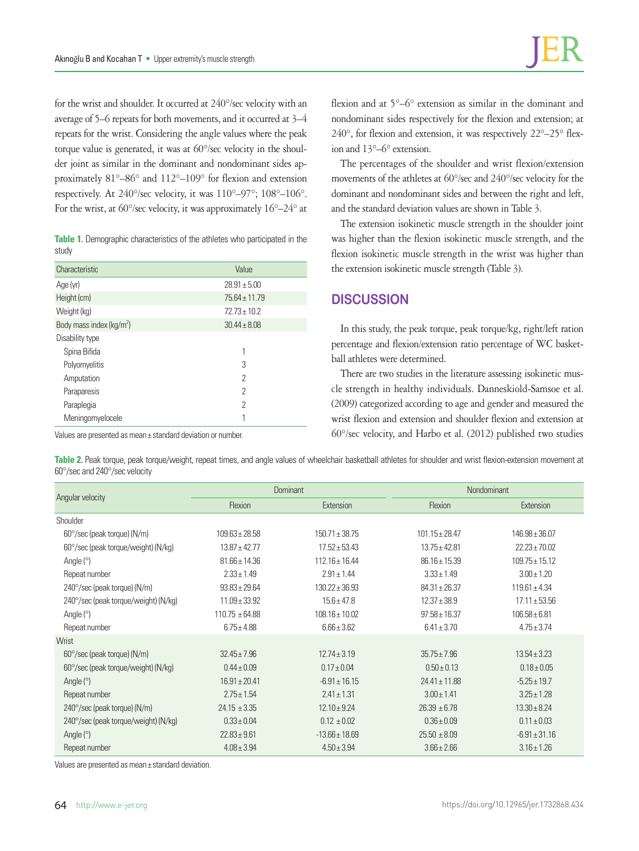for the wrist and shoulder. It occurred at 240°/sec velocity with an average of 5–6 repeats for both movements, and it occurred at 3–4 repeats for the wrist. Considering the angle values where the peak torque value is generated, it was at 60°/sec velocity in the shoulder joint as similar in the dominant and nondominant sides approximately 81°–86° and 112°–109° for flexion and extension respectively. At 240°/sec velocity, it was 110°–97°; 108°–106°. For the wrist, at 60°/sec velocity, it was approximately 16°–24° at

**Table 1.** Demographic characteristics of the athletes who participated in the study

| Characteristic                       | Value             |
|--------------------------------------|-------------------|
| Age (yr)                             | $28.91 \pm 5.00$  |
| Height (cm)                          | $75.64 \pm 11.79$ |
| Weight (kg)                          | $72.73 \pm 10.2$  |
| Body mass index (kg/m <sup>2</sup> ) | $30.44 \pm 8.08$  |
| Disability type                      |                   |
| Spina Bifida                         | 1                 |
| Polyomyelitis                        | 3                 |
| Amputation                           | $\overline{2}$    |
| Paraparesis                          | $\mathcal{P}$     |
| Paraplegia                           | $\overline{2}$    |
| Meningomyelocele                     | 1                 |

Values are presented as mean± standard deviation or number.

flexion and at 5°–6° extension as similar in the dominant and nondominant sides respectively for the flexion and extension; at 240°, for flexion and extension, it was respectively 22°–25° flexion and 13°–6° extension.

The percentages of the shoulder and wrist flexion/extension movements of the athletes at 60°/sec and 240°/sec velocity for the dominant and nondominant sides and between the right and left, and the standard deviation values are shown in Table 3.

The extension isokinetic muscle strength in the shoulder joint was higher than the flexion isokinetic muscle strength, and the flexion isokinetic muscle strength in the wrist was higher than the extension isokinetic muscle strength (Table 3).

## **DISCUSSION**

In this study, the peak torque, peak torque/kg, right/left ration percentage and flexion/extension ratio percentage of WC basketball athletes were determined.

There are two studies in the literature assessing isokinetic muscle strength in healthy individuals. Danneskiold-Samsoe et al. (2009) categorized according to age and gender and measured the wrist flexion and extension and shoulder flexion and extension at 60°/sec velocity, and Harbo et al. (2012) published two studies

**Table 2.** Peak torque, peak torque/weight, repeat times, and angle values of wheelchair basketball athletes for shoulder and wrist flexion-extension movement at 60°/sec and 240°/sec velocity

| Angular velocity                      | Dominant           |                    | Nondominant        |                    |
|---------------------------------------|--------------------|--------------------|--------------------|--------------------|
|                                       | Flexion            | Extension          | Flexion            | Extension          |
| Shoulder                              |                    |                    |                    |                    |
| $60^{\circ}/sec$ (peak torque) (N/m)  | $109.63 \pm 28.58$ | $150.71 \pm 38.75$ | $101.15 \pm 28.47$ | $146.98 \pm 36.07$ |
| 60°/sec (peak torque/weight) (N/kg)   | $13.87 \pm 42.77$  | $17.52 \pm 53.43$  | $13.75 \pm 42.81$  | $22.23 \pm 70.02$  |
| Angle $(°)$                           | $81.66 \pm 14.36$  | $112.16 \pm 16.44$ | $86.16 \pm 15.39$  | $109.75 \pm 15.12$ |
| Repeat number                         | $2.33 \pm 1.49$    | $2.91 \pm 1.44$    | $3.33 \pm 1.49$    | $3.00 \pm 1.20$    |
| $240^{\circ}/sec$ (peak torque) (N/m) | $93.83 \pm 29.64$  | $130.22 \pm 36.93$ | $84.31 \pm 26.37$  | $119.61 \pm 4.34$  |
| 240°/sec (peak torque/weight) (N/kg)  | $11.09 \pm 33.92$  | $15.6 \pm 47.8$    | $12.37 \pm 38.9$   | $17.11 \pm 53.56$  |
| Angle $(°)$                           | $110.75 \pm 64.88$ | $108.16 \pm 10.02$ | $97.58 \pm 16.37$  | $106.58 \pm 6.81$  |
| Repeat number                         | $6.75 \pm 4.88$    | $6.66 \pm 3.62$    | $6.41 \pm 3.70$    | $4.75 \pm 3.74$    |
| Wrist                                 |                    |                    |                    |                    |
| $60^{\circ}/sec$ (peak torque) (N/m)  | $32.45 \pm 7.96$   | $12.74 \pm 3.19$   | $35.75 \pm 7.96$   | $13.54 \pm 3.23$   |
| 60°/sec (peak torque/weight) (N/kg)   | $0.44 \pm 0.09$    | $0.17 \pm 0.04$    | $0.50 \pm 0.13$    | $0.18 \pm 0.05$    |
| Angle $(°)$                           | $16.91 \pm 20.41$  | $-6.91 \pm 16.15$  | $24.41 \pm 11.88$  | $-5.25 \pm 19.7$   |
| Repeat number                         | $2.75 \pm 1.54$    | $2.41 \pm 1.31$    | $3.00 \pm 1.41$    | $3.25 \pm 1.28$    |
| 240°/sec (peak torque) (N/m)          | $24.15 \pm 3.35$   | $12.10 \pm 9.24$   | $26.39 \pm 6.78$   | $13.30 \pm 8.24$   |
| 240°/sec (peak torque/weight) (N/kg)  | $0.33 \pm 0.04$    | $0.12 \pm 0.02$    | $0.36 \pm 0.09$    | $0.11 \pm 0.03$    |
| Angle $(°)$                           | $22.83 \pm 9.61$   | $-13.66 \pm 18.69$ | $25.50 \pm 8.09$   | $-6.91 \pm 31.16$  |
| Repeat number                         | $4.08 \pm 3.94$    | $4.50 \pm 3.94$    | $3.66 \pm 2.66$    | $3.16 \pm 1.26$    |

Values are presented as mean± standard deviation.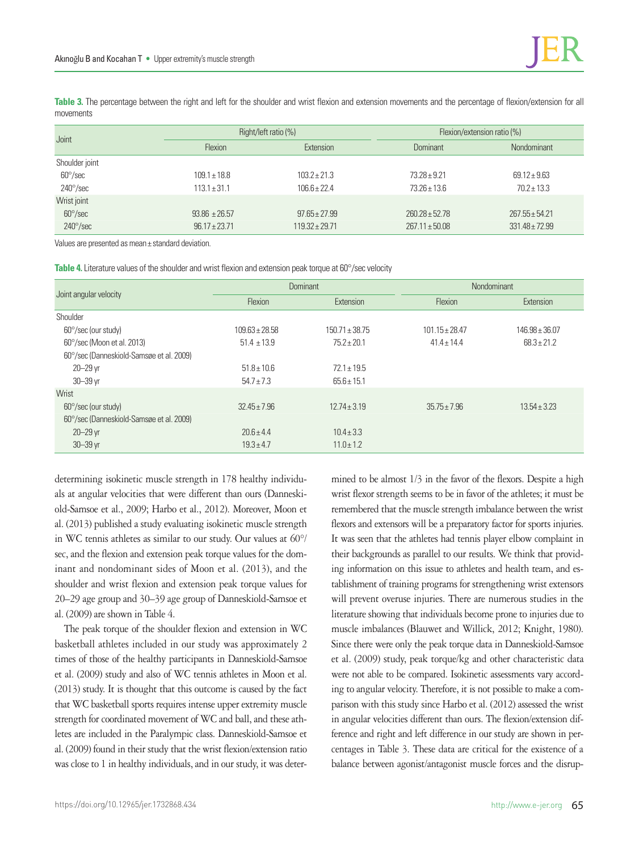**Table 3.** The percentage between the right and left for the shoulder and wrist flexion and extension movements and the percentage of flexion/extension for all movements

| Joint                    | Right/left ratio (%) |                    | Flexion/extension ratio (%) |                    |
|--------------------------|----------------------|--------------------|-----------------------------|--------------------|
|                          | Flexion              | Extension          | Dominant                    | Nondominant        |
| Shoulder joint           |                      |                    |                             |                    |
| $60^{\circ}/sec$         | $109.1 \pm 18.8$     | $103.2 + 21.3$     | $73.28 + 9.21$              | $69.12 \pm 9.63$   |
| $240^{\circ}/\text{sec}$ | $113.1 \pm 31.1$     | $106.6 + 22.4$     | $73.26 \pm 13.6$            | $70.2 \pm 13.3$    |
| Wrist joint              |                      |                    |                             |                    |
| $60^{\circ}/sec$         | $93.86 \pm 26.57$    | $97.65 + 27.99$    | $260.28 \pm 52.78$          | $267.55 \pm 54.21$ |
| $240^{\circ}/sec$        | $96.17 \pm 23.71$    | $119.32 \pm 29.71$ | $267.11 \pm 50.08$          | $331.48 \pm 72.99$ |

Values are presented as mean± standard deviation.

**Table 4.** Literature values of the shoulder and wrist flexion and extension peak torque at 60°/sec velocity

| Joint angular velocity                   | <b>Dominant</b>    |                                  | Nondominant        |                    |
|------------------------------------------|--------------------|----------------------------------|--------------------|--------------------|
|                                          | Flexion            | Extension                        | Flexion            | Extension          |
| Shoulder                                 |                    |                                  |                    |                    |
| $60^{\circ}/sec$ (our study)             | $109.63 \pm 28.58$ | $150.71 \pm 38.75$               | $101.15 \pm 28.47$ | $146.98 \pm 36.07$ |
| 60°/sec (Moon et al. 2013)               | $51.4 \pm 13.9$    | $75.2 + 20.1$<br>$41.4 \pm 14.4$ |                    | $68.3 \pm 21.2$    |
| 60°/sec (Danneskiold-Samsøe et al. 2009) |                    |                                  |                    |                    |
| $20 - 29$ yr                             | $51.8 \pm 10.6$    | $72.1 \pm 19.5$                  |                    |                    |
| $30 - 39$ vr                             | $54.7 \pm 7.3$     | $65.6 \pm 15.1$                  |                    |                    |
| Wrist                                    |                    |                                  |                    |                    |
| $60^{\circ}/sec$ (our study)             | $32.45 \pm 7.96$   | $12.74 \pm 3.19$                 | $35.75 \pm 7.96$   | $13.54 \pm 3.23$   |
| 60°/sec (Danneskiold-Samsøe et al. 2009) |                    |                                  |                    |                    |
| $20 - 29$ yr                             | $20.6 \pm 4.4$     | $10.4 \pm 3.3$                   |                    |                    |
| $30 - 39$ yr                             | $19.3 \pm 4.7$     | $11.0 \pm 1.2$                   |                    |                    |

determining isokinetic muscle strength in 178 healthy individuals at angular velocities that were different than ours (Danneskiold-Samsoe et al., 2009; Harbo et al., 2012). Moreover, Moon et al. (2013) published a study evaluating isokinetic muscle strength in WC tennis athletes as similar to our study. Our values at 60°/ sec, and the flexion and extension peak torque values for the dominant and nondominant sides of Moon et al. (2013), and the shoulder and wrist flexion and extension peak torque values for 20–29 age group and 30–39 age group of Danneskiold-Samsoe et al. (2009) are shown in Table 4.

The peak torque of the shoulder flexion and extension in WC basketball athletes included in our study was approximately 2 times of those of the healthy participants in Danneskiold-Samsoe et al. (2009) study and also of WC tennis athletes in Moon et al. (2013) study. It is thought that this outcome is caused by the fact that WC basketball sports requires intense upper extremity muscle strength for coordinated movement of WC and ball, and these athletes are included in the Paralympic class. Danneskiold-Samsoe et al. (2009) found in their study that the wrist flexion/extension ratio was close to 1 in healthy individuals, and in our study, it was deter-

mined to be almost 1/3 in the favor of the flexors. Despite a high wrist flexor strength seems to be in favor of the athletes; it must be remembered that the muscle strength imbalance between the wrist flexors and extensors will be a preparatory factor for sports injuries. It was seen that the athletes had tennis player elbow complaint in their backgrounds as parallel to our results. We think that providing information on this issue to athletes and health team, and establishment of training programs for strengthening wrist extensors will prevent overuse injuries. There are numerous studies in the literature showing that individuals become prone to injuries due to muscle imbalances (Blauwet and Willick, 2012; Knight, 1980). Since there were only the peak torque data in Danneskiold-Samsoe et al. (2009) study, peak torque/kg and other characteristic data were not able to be compared. Isokinetic assessments vary according to angular velocity. Therefore, it is not possible to make a comparison with this study since Harbo et al. (2012) assessed the wrist in angular velocities different than ours. The flexion/extension difference and right and left difference in our study are shown in percentages in Table 3. These data are critical for the existence of a balance between agonist/antagonist muscle forces and the disrup-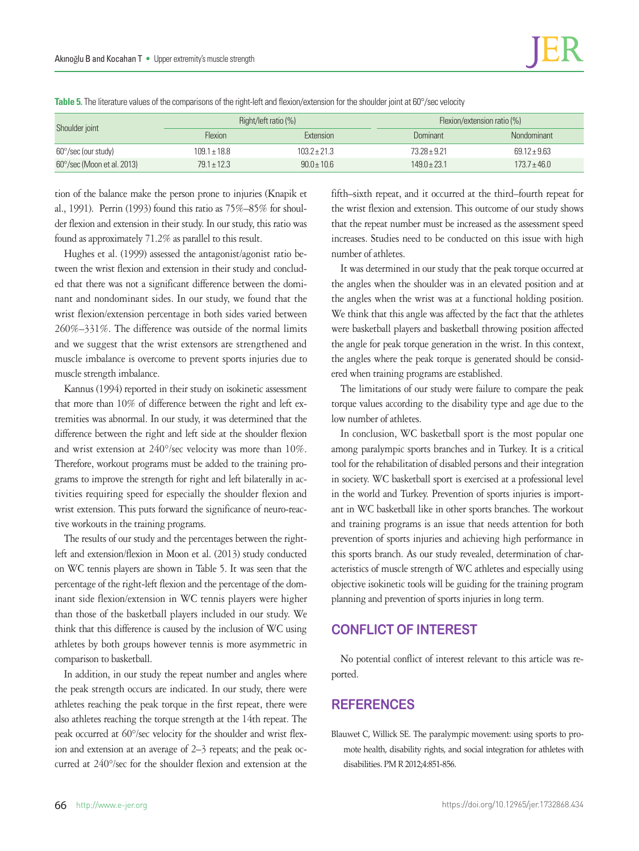| Table 5. The literature values of the comparisons of the right-left and flexion/extension for the shoulder joint at 60°/sec velocity |  |  |  |
|--------------------------------------------------------------------------------------------------------------------------------------|--|--|--|

| Shoulder joint                      |                  | Right/left ratio $(\%)$ |                | Flexion/extension ratio (%) |  |
|-------------------------------------|------------------|-------------------------|----------------|-----------------------------|--|
|                                     | <b>Flexion</b>   | Extension               | Dominant       | Nondominant                 |  |
| $60^{\circ}/sec$ (our study)        | $109.1 \pm 18.8$ | $1032 + 213$            | $73.28 + 9.21$ | $69.12 + 9.63$              |  |
| $60^{\circ}/sec$ (Moon et al. 2013) | $79.1 \pm 12.3$  | $90.0 \pm 10.6$         | $1490 + 231$   | $173.7 \pm 46.0$            |  |

tion of the balance make the person prone to injuries (Knapik et al., 1991). Perrin (1993) found this ratio as 75%–85% for shoulder flexion and extension in their study. In our study, this ratio was found as approximately 71.2% as parallel to this result.

Hughes et al. (1999) assessed the antagonist/agonist ratio between the wrist flexion and extension in their study and concluded that there was not a significant difference between the dominant and nondominant sides. In our study, we found that the wrist flexion/extension percentage in both sides varied between 260%–331%. The difference was outside of the normal limits and we suggest that the wrist extensors are strengthened and muscle imbalance is overcome to prevent sports injuries due to muscle strength imbalance.

Kannus (1994) reported in their study on isokinetic assessment that more than 10% of difference between the right and left extremities was abnormal. In our study, it was determined that the difference between the right and left side at the shoulder flexion and wrist extension at 240°/sec velocity was more than 10%. Therefore, workout programs must be added to the training programs to improve the strength for right and left bilaterally in activities requiring speed for especially the shoulder flexion and wrist extension. This puts forward the significance of neuro-reactive workouts in the training programs.

The results of our study and the percentages between the rightleft and extension/flexion in Moon et al. (2013) study conducted on WC tennis players are shown in Table 5. It was seen that the percentage of the right-left flexion and the percentage of the dominant side flexion/extension in WC tennis players were higher than those of the basketball players included in our study. We think that this difference is caused by the inclusion of WC using athletes by both groups however tennis is more asymmetric in comparison to basketball.

In addition, in our study the repeat number and angles where the peak strength occurs are indicated. In our study, there were athletes reaching the peak torque in the first repeat, there were also athletes reaching the torque strength at the 14th repeat. The peak occurred at 60°/sec velocity for the shoulder and wrist flexion and extension at an average of 2–3 repeats; and the peak occurred at 240°/sec for the shoulder flexion and extension at the

fifth–sixth repeat, and it occurred at the third–fourth repeat for the wrist flexion and extension. This outcome of our study shows that the repeat number must be increased as the assessment speed increases. Studies need to be conducted on this issue with high number of athletes.

It was determined in our study that the peak torque occurred at the angles when the shoulder was in an elevated position and at the angles when the wrist was at a functional holding position. We think that this angle was affected by the fact that the athletes were basketball players and basketball throwing position affected the angle for peak torque generation in the wrist. In this context, the angles where the peak torque is generated should be considered when training programs are established.

The limitations of our study were failure to compare the peak torque values according to the disability type and age due to the low number of athletes.

In conclusion, WC basketball sport is the most popular one among paralympic sports branches and in Turkey. It is a critical tool for the rehabilitation of disabled persons and their integration in society. WC basketball sport is exercised at a professional level in the world and Turkey. Prevention of sports injuries is important in WC basketball like in other sports branches. The workout and training programs is an issue that needs attention for both prevention of sports injuries and achieving high performance in this sports branch. As our study revealed, determination of characteristics of muscle strength of WC athletes and especially using objective isokinetic tools will be guiding for the training program planning and prevention of sports injuries in long term.

## **CONFLICT OF INTEREST**

No potential conflict of interest relevant to this article was reported.

# **REFERENCES**

Blauwet C, Willick SE. The paralympic movement: using sports to promote health, disability rights, and social integration for athletes with disabilities. PM R 2012;4:851-856.